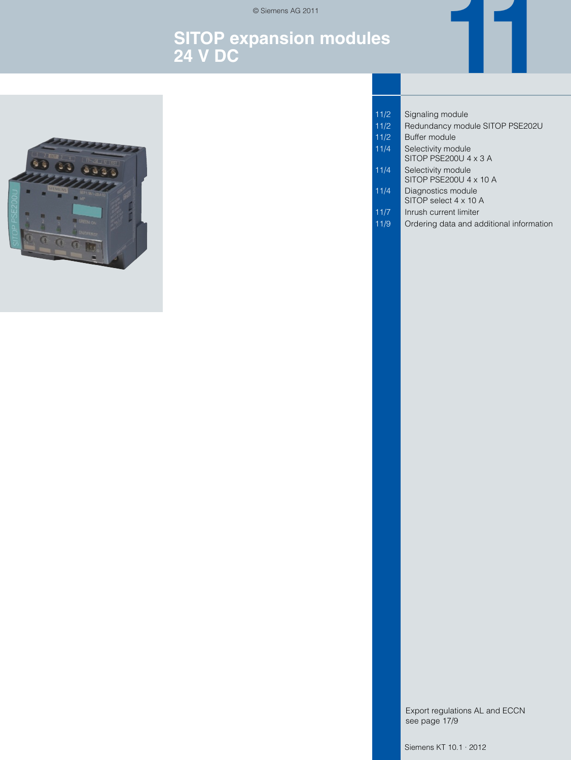© Siemens AG 2011

# **SITOP expansion modules 24 V DC**



- 11/2 Signaling module
- 11/2 Redundancy module SITOP PSE202U

**11**

- 11/2 Buffer module
- 11/4 Selectivity module SITOP PSE200U 4 x 3 A
- 11/4 | Selectivity module
- SITOP PSE200U 4 x 10 A 11/4 **Diagnostics module** 
	- SITOP select 4 x 10 A
- 11/7 | Inrush current limiter
- 11/9 **Ordering data and additional information**

Export regulations AL and ECCN see page 17/9

Siemens KT 10.1 · 2012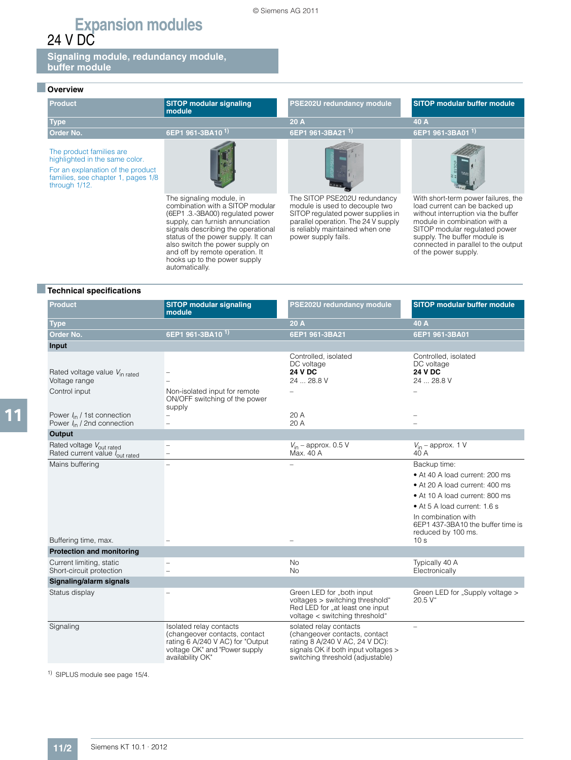**Signaling module, redundancy module, buffer module**

### ■ **Overview**

| <b>Product</b>                                                                                                                                         | <b>SITOP modular signaling</b><br>module                                                                                                                                                                        | PSE202U redundancy module                                                                                                                                                                            | <b>SITOP modular buffer module</b>                                                                                                                                                                           |
|--------------------------------------------------------------------------------------------------------------------------------------------------------|-----------------------------------------------------------------------------------------------------------------------------------------------------------------------------------------------------------------|------------------------------------------------------------------------------------------------------------------------------------------------------------------------------------------------------|--------------------------------------------------------------------------------------------------------------------------------------------------------------------------------------------------------------|
| <b>Type</b>                                                                                                                                            |                                                                                                                                                                                                                 | 20A                                                                                                                                                                                                  | 40 A                                                                                                                                                                                                         |
| Order No.                                                                                                                                              | 6EP1 961-3BA10 <sup>1)</sup>                                                                                                                                                                                    | 6EP1 961-3BA21 <sup>1)</sup>                                                                                                                                                                         | 6EP1 961-3BA01 <sup>1)</sup>                                                                                                                                                                                 |
| The product families are<br>highlighted in the same color.<br>For an explanation of the product<br>families, see chapter 1, pages 1/8<br>through 1/12. |                                                                                                                                                                                                                 |                                                                                                                                                                                                      |                                                                                                                                                                                                              |
|                                                                                                                                                        | The signaling module, in<br>combination with a SITOP modular<br>(6EP1.3.-3BA00) regulated power<br>supply, can furnish annunciation<br>signals describing the operational<br>status of the power supply. It can | The SITOP PSE202U redundancy<br>module is used to decouple two<br>SITOP regulated power supplies in<br>parallel operation. The 24 V supply<br>is reliably maintained when one<br>power supply fails. | With short-term power failures, the<br>load current can be backed up<br>without interruption via the buffer<br>module in combination with a<br>SITOP modular regulated power<br>supply. The buffer module is |

also switch the power supply on and off by remote operation. It hooks up to the power supply automatically.



### ■**Technical specifications**

| <b>Product</b>                                                         | <b>SITOP modular signaling</b><br>module                                                                                                          | PSE202U redundancy module                                                                                                                                            | <b>SITOP modular buffer module</b>                                                                |
|------------------------------------------------------------------------|---------------------------------------------------------------------------------------------------------------------------------------------------|----------------------------------------------------------------------------------------------------------------------------------------------------------------------|---------------------------------------------------------------------------------------------------|
| <b>Type</b>                                                            |                                                                                                                                                   | 20 A                                                                                                                                                                 | 40 A                                                                                              |
| <b>Order No.</b>                                                       | 6EP1 961-3BA10 <sup>1)</sup>                                                                                                                      | 6EP1 961-3BA21                                                                                                                                                       | 6EP1 961-3BA01                                                                                    |
| Input                                                                  |                                                                                                                                                   |                                                                                                                                                                      |                                                                                                   |
| Rated voltage value V <sub>in rated</sub><br>Voltage range             |                                                                                                                                                   | Controlled, isolated<br>DC voltage<br><b>24 V DC</b><br>24  28.8 V                                                                                                   | Controlled, isolated<br>DC voltage<br><b>24 V DC</b><br>24  28.8 V                                |
| Control input                                                          | Non-isolated input for remote<br>ON/OFF switching of the power<br>supply                                                                          |                                                                                                                                                                      |                                                                                                   |
| Power $I_{\text{in}}$ / 1st connection                                 |                                                                                                                                                   | 20 A                                                                                                                                                                 |                                                                                                   |
| Power $I_{\text{in}}$ / 2nd connection                                 | $\overline{\phantom{0}}$                                                                                                                          | 20 A                                                                                                                                                                 |                                                                                                   |
| Output                                                                 |                                                                                                                                                   |                                                                                                                                                                      |                                                                                                   |
| Rated voltage V <sub>out rated</sub><br>Rated current value lout rated | -<br>$\overline{\phantom{0}}$                                                                                                                     | $V_{\text{in}}$ – approx. 0.5 V<br>Max. 40 A                                                                                                                         | $V_{\text{in}}$ – approx. 1 V<br>40 A                                                             |
| Mains buffering                                                        | -                                                                                                                                                 | $\equiv$                                                                                                                                                             | Backup time:                                                                                      |
|                                                                        |                                                                                                                                                   |                                                                                                                                                                      | • At 40 A load current: 200 ms                                                                    |
|                                                                        |                                                                                                                                                   |                                                                                                                                                                      | • At 20 A load current: 400 ms                                                                    |
|                                                                        |                                                                                                                                                   |                                                                                                                                                                      | • At 10 A load current: 800 ms                                                                    |
|                                                                        |                                                                                                                                                   |                                                                                                                                                                      | • At 5 A load current: 1.6 s                                                                      |
| Buffering time, max.                                                   |                                                                                                                                                   |                                                                                                                                                                      | In combination with<br>6EP1 437-3BA10 the buffer time is<br>reduced by 100 ms.<br>10 <sub>s</sub> |
| <b>Protection and monitoring</b>                                       |                                                                                                                                                   |                                                                                                                                                                      |                                                                                                   |
| Current limiting, static<br>Short-circuit protection                   | L,                                                                                                                                                | No<br><b>No</b>                                                                                                                                                      | Typically 40 A<br>Electronically                                                                  |
| Signaling/alarm signals                                                |                                                                                                                                                   |                                                                                                                                                                      |                                                                                                   |
| Status display                                                         |                                                                                                                                                   | Green LED for "both input<br>voltages > switching threshold"<br>Red LED for "at least one input<br>voltage < switching threshold"                                    | Green LED for "Supply voltage ><br>20.5 V"                                                        |
| Signaling                                                              | Isolated relay contacts<br>(changeover contacts, contact<br>rating 6 A/240 V AC) for "Output<br>voltage OK" and "Power supply<br>availability OK" | solated relay contacts<br>(changeover contacts, contact<br>rating 8 A/240 V AC, 24 V DC):<br>signals OK if both input voltages ><br>switching threshold (adjustable) |                                                                                                   |

1) SIPLUS module see page 15/4.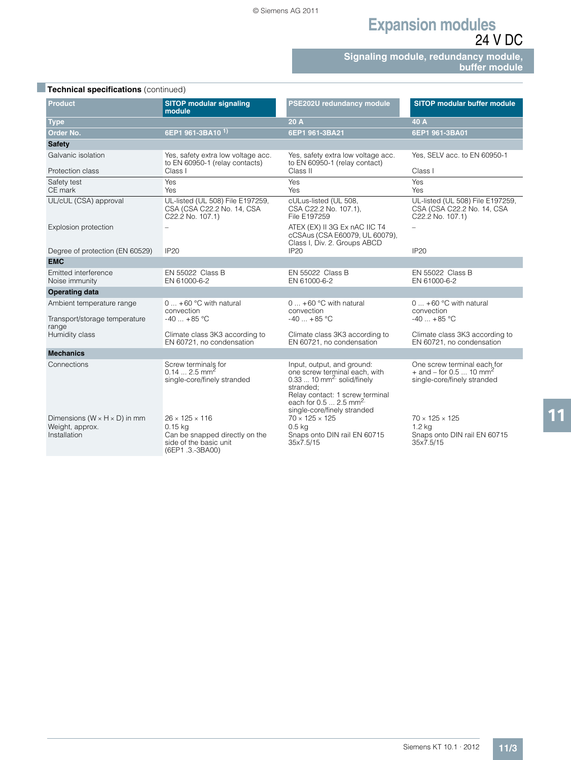**Signaling module, redundancy module, buffer module**

| Technical specifications (continued).                                         |                                                                                                                        |                                                                                                                                                                                                                            |                                                                                                   |  |
|-------------------------------------------------------------------------------|------------------------------------------------------------------------------------------------------------------------|----------------------------------------------------------------------------------------------------------------------------------------------------------------------------------------------------------------------------|---------------------------------------------------------------------------------------------------|--|
| <b>Product</b>                                                                | <b>SITOP modular signaling</b><br>module                                                                               | PSE202U redundancy module                                                                                                                                                                                                  | <b>SITOP modular buffer module</b>                                                                |  |
| <b>Type</b>                                                                   |                                                                                                                        | 20 A                                                                                                                                                                                                                       | 40 A                                                                                              |  |
| Order No.                                                                     | 6EP1 961-3BA10 <sup>1)</sup>                                                                                           | 6EP1 961-3BA21                                                                                                                                                                                                             | 6EP1 961-3BA01                                                                                    |  |
| <b>Safety</b>                                                                 |                                                                                                                        |                                                                                                                                                                                                                            |                                                                                                   |  |
| Galvanic isolation                                                            | Yes, safety extra low voltage acc.<br>to EN 60950-1 (relay contacts)                                                   | Yes, safety extra low voltage acc.<br>to EN 60950-1 (relay contact)                                                                                                                                                        | Yes, SELV acc. to EN 60950-1                                                                      |  |
| Protection class                                                              | Class I                                                                                                                | Class II                                                                                                                                                                                                                   | Class I                                                                                           |  |
| Safety test<br>CE mark                                                        | Yes<br>Yes                                                                                                             | Yes<br>Yes                                                                                                                                                                                                                 | Yes<br><b>Yes</b>                                                                                 |  |
| UL/cUL (CSA) approval                                                         | UL-listed (UL 508) File E197259,<br>CSA (CSA C22.2 No. 14, CSA<br>C22.2 No. 107.1)                                     | cULus-listed (UL 508,<br>CSA C22.2 No. 107.1),<br>File E197259                                                                                                                                                             | UL-listed (UL 508) File E197259,<br>CSA (CSA C22.2 No. 14, CSA<br>C22.2 No. 107.1)                |  |
| Explosion protection                                                          |                                                                                                                        | ATEX (EX) II 3G Ex nAC IIC T4<br>cCSAus (CSA E60079, UL 60079),<br>Class I, Div. 2. Groups ABCD                                                                                                                            | $\overline{\phantom{0}}$                                                                          |  |
| Degree of protection (EN 60529)                                               | <b>IP20</b>                                                                                                            | <b>IP20</b>                                                                                                                                                                                                                | IP <sub>20</sub>                                                                                  |  |
| <b>EMC</b>                                                                    |                                                                                                                        |                                                                                                                                                                                                                            |                                                                                                   |  |
| Emitted interference<br>Noise immunity                                        | EN 55022 Class B<br>EN 61000-6-2                                                                                       | EN 55022 Class B<br>EN 61000-6-2                                                                                                                                                                                           | EN 55022 Class B<br>EN 61000-6-2                                                                  |  |
| <b>Operating data</b>                                                         |                                                                                                                        |                                                                                                                                                                                                                            |                                                                                                   |  |
| Ambient temperature range<br>Transport/storage temperature                    | $0  +60 °C$ with natural<br>convection<br>$-40$ $+85$ °C                                                               | $0  +60 °C$ with natural<br>convection<br>$-40$ +85 °C                                                                                                                                                                     | $0  +60 °C$ with natural<br>convection<br>$-40$ $+85$ °C                                          |  |
| range<br>Humidity class                                                       | Climate class 3K3 according to<br>EN 60721, no condensation                                                            | Climate class 3K3 according to<br>EN 60721, no condensation                                                                                                                                                                | Climate class 3K3 according to<br>EN 60721, no condensation                                       |  |
| <b>Mechanics</b>                                                              |                                                                                                                        |                                                                                                                                                                                                                            |                                                                                                   |  |
| Connections                                                                   | Screw terminals for<br>$0.14 2.5$ mm <sup>2</sup><br>single-core/finely stranded                                       | Input, output, and ground:<br>one screw terminal each, with<br>$0.3310$ mm <sup>2</sup> solid/finely<br>stranded:<br>Relay contact: 1 screw terminal<br>each for $0.5$ 2.5 mm <sup>2.</sup><br>single-core/finely stranded | One screw terminal each for<br>+ and – for 0.5  10 mm <sup>2</sup><br>single-core/finely stranded |  |
| Dimensions ( $W \times H \times D$ ) in mm<br>Weight, approx.<br>Installation | $26 \times 125 \times 116$<br>$0.15$ ka<br>Can be snapped directly on the<br>side of the basic unit<br>(6EP1.3.-3BA00) | $70 \times 125 \times 125$<br>0.5 <sub>k</sub><br>Snaps onto DIN rail EN 60715<br>35x7.5/15                                                                                                                                | $70 \times 125 \times 125$<br>1.2 <sub>k</sub><br>Snaps onto DIN rail EN 60715<br>35x7.5/15       |  |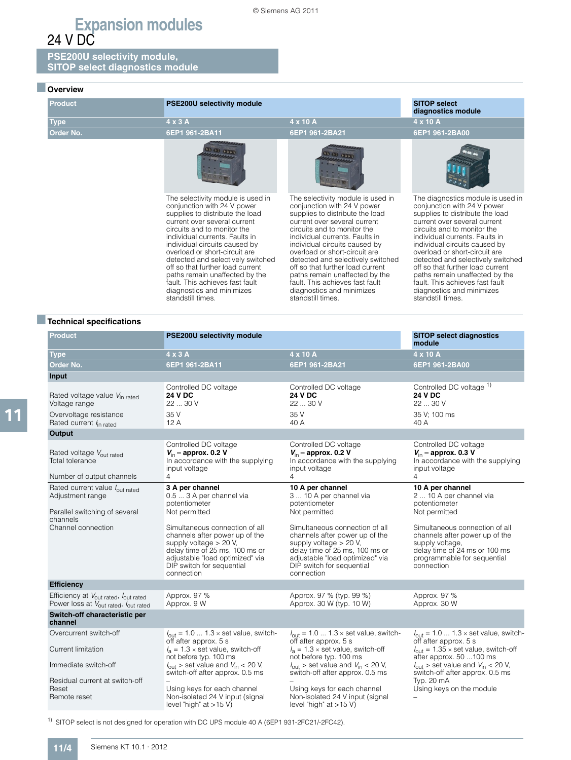**PSE200U selectivity module, SITOP select diagnostics module** 

### ■ **Overview**

| <b>Product</b>   | <b>PSE200U selectivity module</b>                                                                                                                                                                                                                                                                                                                                                                                                                                      |                                                                                                                                                                                                                                                                                                                                                                                                                                                                        | <b>SITOP select</b><br>diagnostics module                                                                                                                                                                                                                                                                                                                                                                                                                              |
|------------------|------------------------------------------------------------------------------------------------------------------------------------------------------------------------------------------------------------------------------------------------------------------------------------------------------------------------------------------------------------------------------------------------------------------------------------------------------------------------|------------------------------------------------------------------------------------------------------------------------------------------------------------------------------------------------------------------------------------------------------------------------------------------------------------------------------------------------------------------------------------------------------------------------------------------------------------------------|------------------------------------------------------------------------------------------------------------------------------------------------------------------------------------------------------------------------------------------------------------------------------------------------------------------------------------------------------------------------------------------------------------------------------------------------------------------------|
| <b>Type</b>      | $4 \times 3$ A                                                                                                                                                                                                                                                                                                                                                                                                                                                         | 4 x 10 A                                                                                                                                                                                                                                                                                                                                                                                                                                                               | 4 x 10 A                                                                                                                                                                                                                                                                                                                                                                                                                                                               |
| <b>Order No.</b> | 6EP1 961-2BA11                                                                                                                                                                                                                                                                                                                                                                                                                                                         | 6EP1 961-2BA21                                                                                                                                                                                                                                                                                                                                                                                                                                                         | 6EP1 961-2BA00                                                                                                                                                                                                                                                                                                                                                                                                                                                         |
|                  |                                                                                                                                                                                                                                                                                                                                                                                                                                                                        |                                                                                                                                                                                                                                                                                                                                                                                                                                                                        |                                                                                                                                                                                                                                                                                                                                                                                                                                                                        |
|                  | The selectivity module is used in<br>conjunction with 24 V power<br>supplies to distribute the load<br>current over several current<br>circuits and to monitor the<br>individual currents. Faults in<br>individual circuits caused by<br>overload or short-circuit are<br>detected and selectively switched<br>off so that further load current<br>paths remain unaffected by the<br>fault. This achieves fast fault<br>diagnostics and minimizes<br>standstill times. | The selectivity module is used in<br>conjunction with 24 V power<br>supplies to distribute the load<br>current over several current<br>circuits and to monitor the<br>individual currents. Faults in<br>individual circuits caused by<br>overload or short-circuit are<br>detected and selectively switched<br>off so that further load current<br>paths remain unaffected by the<br>fault. This achieves fast fault<br>diagnostics and minimizes<br>standstill times. | The diagnostics module is used in<br>conjunction with 24 V power<br>supplies to distribute the load<br>current over several current<br>circuits and to monitor the<br>individual currents. Faults in<br>individual circuits caused by<br>overload or short-circuit are<br>detected and selectively switched<br>off so that further load current<br>paths remain unaffected by the<br>fault. This achieves fast fault<br>diagnostics and minimizes<br>standstill times. |

### ■**Technical specifications**

| Product                                                                                                                               | PSE200U selectivity module                                                                                                                                                                                 |                                                                                                                                                                                                              | <b>SITOP select diagnostics</b><br>module                                                                                                                         |
|---------------------------------------------------------------------------------------------------------------------------------------|------------------------------------------------------------------------------------------------------------------------------------------------------------------------------------------------------------|--------------------------------------------------------------------------------------------------------------------------------------------------------------------------------------------------------------|-------------------------------------------------------------------------------------------------------------------------------------------------------------------|
| <b>Type</b>                                                                                                                           | 4 x 3 A                                                                                                                                                                                                    | 4 x 10 A                                                                                                                                                                                                     | 4 x 10 A                                                                                                                                                          |
| Order No.                                                                                                                             | 6EP1 961-2BA11                                                                                                                                                                                             | 6EP1 961-2BA21                                                                                                                                                                                               | 6EP1 961-2BA00                                                                                                                                                    |
| Input                                                                                                                                 |                                                                                                                                                                                                            |                                                                                                                                                                                                              |                                                                                                                                                                   |
| Rated voltage value V <sub>in rated</sub><br>Voltage range                                                                            | Controlled DC voltage<br><b>24 V DC</b><br>22  30 V                                                                                                                                                        | Controlled DC voltage<br><b>24 V DC</b><br>22  30 V                                                                                                                                                          | Controlled DC voltage 1)<br><b>24 V DC</b><br>22  30 V                                                                                                            |
| Overvoltage resistance<br>Rated current $I_{\text{in rated}}$                                                                         | 35 V<br>12A                                                                                                                                                                                                | 35 V<br>40 A                                                                                                                                                                                                 | 35 V; 100 ms<br>40 A                                                                                                                                              |
| Output                                                                                                                                |                                                                                                                                                                                                            |                                                                                                                                                                                                              |                                                                                                                                                                   |
| Rated voltage Vout rated<br>Total tolerance<br>Number of output channels                                                              | Controlled DC voltage<br>$V_{\text{in}}$ – approx. 0.2 V<br>In accordance with the supplying<br>input voltage<br>4                                                                                         | Controlled DC voltage<br>$V_{\text{in}}$ – approx. 0.2 V<br>In accordance with the supplying<br>input voltage<br>4                                                                                           | Controlled DC voltage<br>$V_{\text{in}}$ – approx. 0.3 V<br>In accordance with the supplying<br>input voltage<br>4                                                |
| Rated current value lout rated<br>Adjustment range<br>Parallel switching of several<br>channels                                       | 3 A per channel<br>0.5  3 A per channel via<br>potentiometer<br>Not permitted                                                                                                                              | 10 A per channel<br>3  10 A per channel via<br>potentiometer<br>Not permitted                                                                                                                                | 10 A per channel<br>2  10 A per channel via<br>potentiometer<br>Not permitted                                                                                     |
| Channel connection                                                                                                                    | Simultaneous connection of all<br>channels after power up of the<br>supply voltage > 20 V,<br>delay time of 25 ms, 100 ms or<br>adjustable "load optimized" via<br>DIP switch for sequential<br>connection | Simultaneous connection of all<br>channels after power up of the<br>supply voltage $> 20$ V,<br>delay time of 25 ms, 100 ms or<br>adjustable "load optimized" via<br>DIP switch for sequential<br>connection | Simultaneous connection of all<br>channels after power up of the<br>supply voltage,<br>delay time of 24 ms or 100 ms<br>programmable for sequential<br>connection |
| <b>Efficiency</b>                                                                                                                     |                                                                                                                                                                                                            |                                                                                                                                                                                                              |                                                                                                                                                                   |
| Efficiency at V <sub>out rated</sub> , I <sub>out rated</sub><br>Power loss at V <sub>out rated</sub> , <i>l</i> <sub>out rated</sub> | Approx. 97 %<br>Approx. 9 W                                                                                                                                                                                | Approx. 97 % (typ. 99 %)<br>Approx. 30 W (typ. 10 W)                                                                                                                                                         | Approx. 97 %<br>Approx. 30 W                                                                                                                                      |
| Switch-off characteristic per<br>channel                                                                                              |                                                                                                                                                                                                            |                                                                                                                                                                                                              |                                                                                                                                                                   |
| Overcurrent switch-off                                                                                                                | $I_{\text{out}} = 1.0  1.3 \times \text{set value}$ , switch-<br>off after approx. 5 s                                                                                                                     | $I_{\text{out}} = 1.0  1.3 \times \text{set value}$ , switch-<br>off after approx. 5 s                                                                                                                       | $I_{\text{out}} = 1.0  1.3 \times \text{set value}$ , switch-<br>off after approx. 5 s                                                                            |
| Current limitation                                                                                                                    | $l_a = 1.3 \times$ set value, switch-off<br>not before typ. 100 ms                                                                                                                                         | $l_a = 1.3 \times$ set value, switch-off<br>not before typ. 100 ms                                                                                                                                           | $I_{\text{out}} = 1.35 \times \text{set value}$ , switch-off<br>after approx. 50 100 ms                                                                           |
| Immediate switch-off                                                                                                                  | $l_{\text{out}}$ > set value and $V_{\text{in}}$ < 20 V,<br>switch-off after approx. 0.5 ms                                                                                                                | $l_{\text{out}}$ > set value and $V_{\text{in}}$ < 20 V,<br>switch-off after approx. 0.5 ms                                                                                                                  | $l_{\text{out}}$ > set value and $V_{\text{in}}$ < 20 V,<br>switch-off after approx. 0.5 ms                                                                       |
| Residual current at switch-off<br>Reset                                                                                               |                                                                                                                                                                                                            |                                                                                                                                                                                                              | Typ. 20 mA                                                                                                                                                        |
| Remote reset                                                                                                                          | Using keys for each channel<br>Non-isolated 24 V input (signal<br>level "high" at $>15$ V)                                                                                                                 | Using keys for each channel<br>Non-isolated 24 V input (signal<br>level "high" at $>15$ V)                                                                                                                   | Using keys on the module                                                                                                                                          |

1) SITOP select is not designed for operation with DC UPS module 40 A (6EP1 931-2FC21/-2FC42).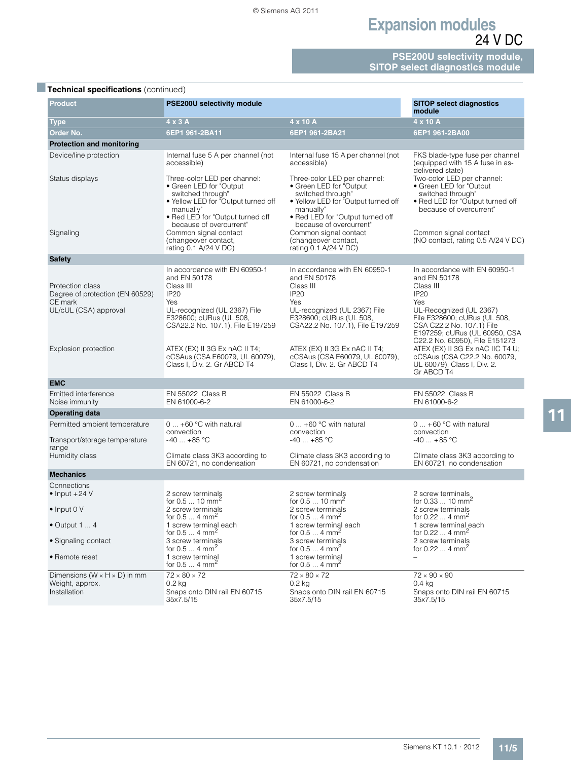**PSE200U selectivity module, SITOP select diagnostics module** 

| <b>Product</b>                                                                          | <b>PSE200U selectivity module</b>                                                                                                                                                                                        |                                                                                                                                                                                                                           | <b>SITOP select diagnostics</b><br>module                                                                                                                                                                                                     |  |
|-----------------------------------------------------------------------------------------|--------------------------------------------------------------------------------------------------------------------------------------------------------------------------------------------------------------------------|---------------------------------------------------------------------------------------------------------------------------------------------------------------------------------------------------------------------------|-----------------------------------------------------------------------------------------------------------------------------------------------------------------------------------------------------------------------------------------------|--|
| <b>Type</b>                                                                             | 4 x 3 A                                                                                                                                                                                                                  | 4 x 10 A                                                                                                                                                                                                                  | 4 x 10 A                                                                                                                                                                                                                                      |  |
| <b>Order No.</b>                                                                        | 6EP1 961-2BA11                                                                                                                                                                                                           | 6EP1 961-2BA21                                                                                                                                                                                                            | 6EP1 961-2BA00                                                                                                                                                                                                                                |  |
| <b>Protection and monitoring</b>                                                        |                                                                                                                                                                                                                          |                                                                                                                                                                                                                           |                                                                                                                                                                                                                                               |  |
| Device/line protection                                                                  | Internal fuse 5 A per channel (not<br>accessible)                                                                                                                                                                        | Internal fuse 15 A per channel (not<br>accessible)                                                                                                                                                                        | FKS blade-type fuse per channel<br>(equipped with 15 A fuse in as-<br>delivered state)                                                                                                                                                        |  |
| Status displays<br>Signaling                                                            | Three-color LED per channel:<br>• Green LED for "Output<br>switched through"<br>. Yellow LED for "Output turned off<br>manually"<br>. Red LED for "Output turned off<br>because of overcurrent"<br>Common signal contact | Three-color LED per channel:<br>• Green LED for "Output"<br>switched through"<br>. Yellow LED for "Output turned off<br>manually"<br>• Red LED for "Output turned off<br>because of overcurrent"<br>Common signal contact | Two-color LED per channel:<br>• Green LED for "Output<br>switched through"<br>. Red LED for "Output turned off<br>because of overcurrent"<br>Common signal contact                                                                            |  |
|                                                                                         | (changeover contact,<br>rating 0.1 A/24 V DC)                                                                                                                                                                            | (changeover contact,<br>rating 0.1 A/24 V DC)                                                                                                                                                                             | (NO contact, rating 0.5 A/24 V DC)                                                                                                                                                                                                            |  |
| <b>Safety</b>                                                                           |                                                                                                                                                                                                                          |                                                                                                                                                                                                                           |                                                                                                                                                                                                                                               |  |
| Protection class<br>Degree of protection (EN 60529)<br>CE mark<br>UL/cUL (CSA) approval | In accordance with EN 60950-1<br>and EN 50178<br>Class III<br><b>IP20</b><br>Yes<br>UL-recognized (UL 2367) File                                                                                                         | In accordance with EN 60950-1<br>and EN 50178<br>Class III<br><b>IP20</b><br>Yes<br>UL-recognized (UL 2367) File                                                                                                          | In accordance with EN 60950-1<br>and EN 50178<br>Class III<br><b>IP20</b><br>Yes<br>UL-Recognized (UL 2367)                                                                                                                                   |  |
| Explosion protection                                                                    | E328600; cURus (UL 508,<br>CSA22.2 No. 107.1), File E197259<br>ATEX (EX) II 3G Ex nAC II T4;<br>cCSAus (CSA E60079, UL 60079),<br>Class I, Div. 2. Gr ABCD T4                                                            | E328600; cURus (UL 508,<br>CSA22.2 No. 107.1), File E197259<br>ATEX (EX) II 3G Ex nAC II T4;<br>cCSAus (CSA E60079, UL 60079),<br>Class I, Div. 2. Gr ABCD T4                                                             | File E328600; cURus (UL 508,<br>CSA C22.2 No. 107.1) File<br>E197259; cURus (UL 60950, CSA<br>C22.2 No. 60950), File E151273<br>ATEX (EX) II 3G Ex nAC IIC T4 U;<br>cCSAus (CSA C22.2 No. 60079,<br>UL 60079), Class I, Div. 2.<br>Gr ABCD T4 |  |
| <b>EMC</b>                                                                              |                                                                                                                                                                                                                          |                                                                                                                                                                                                                           |                                                                                                                                                                                                                                               |  |
| Emitted interference<br>Noise immunity                                                  | EN 55022 Class B<br>EN 61000-6-2                                                                                                                                                                                         | EN 55022 Class B<br>EN 61000-6-2                                                                                                                                                                                          | EN 55022 Class B<br>EN 61000-6-2                                                                                                                                                                                                              |  |
| <b>Operating data</b>                                                                   |                                                                                                                                                                                                                          |                                                                                                                                                                                                                           |                                                                                                                                                                                                                                               |  |
| Permitted ambient temperature                                                           | $0 +60$ °C with natural<br>convection                                                                                                                                                                                    | $0 +60$ °C with natural<br>convection                                                                                                                                                                                     | $0 + 60$ °C with natural<br>convection                                                                                                                                                                                                        |  |
| Transport/storage temperature<br>range                                                  | $-40+85$ °C                                                                                                                                                                                                              | $-40+85$ °C                                                                                                                                                                                                               | $-40 + 85$ °C                                                                                                                                                                                                                                 |  |
| Humidity class                                                                          | Climate class 3K3 according to<br>EN 60721, no condensation                                                                                                                                                              | Climate class 3K3 according to<br>EN 60721, no condensation                                                                                                                                                               | Climate class 3K3 according to<br>EN 60721, no condensation                                                                                                                                                                                   |  |
| <b>Mechanics</b>                                                                        |                                                                                                                                                                                                                          |                                                                                                                                                                                                                           |                                                                                                                                                                                                                                               |  |
| Connections                                                                             |                                                                                                                                                                                                                          |                                                                                                                                                                                                                           |                                                                                                                                                                                                                                               |  |
| $\bullet$ Input +24 V                                                                   | 2 screw terminals                                                                                                                                                                                                        | 2 screw terminals                                                                                                                                                                                                         | 2 screw terminals                                                                                                                                                                                                                             |  |
| $\bullet$ Input 0 V                                                                     | for 0.5  10 mm <sup>2</sup><br>2 screw terminals<br>for $0.54$ mm <sup>2</sup>                                                                                                                                           | for $0.510$ mm <sup>2</sup><br>2 screw terminals<br>for $0.54$ mm <sup>2</sup>                                                                                                                                            | for 0.33  10 mm <sup>2</sup><br>2 screw terminals<br>for 0.22  4 mm <sup>2</sup>                                                                                                                                                              |  |
| $\bullet$ Output 1 $\dots$ 4                                                            | 1 screw terminal each<br>for $0.54$ mm <sup>2</sup>                                                                                                                                                                      | 1 screw terminal each<br>for $0.54$ mm <sup>2</sup>                                                                                                                                                                       | 1 screw terminal each<br>for 0.22  4 mm <sup>2</sup>                                                                                                                                                                                          |  |
| • Signaling contact                                                                     | 3 screw terminals<br>for $0.54$ mm <sup>2</sup>                                                                                                                                                                          | 3 screw terminals<br>for $0.54$ mm <sup>2</sup>                                                                                                                                                                           | 2 screw terminals<br>for $0.224$ mm <sup>2</sup>                                                                                                                                                                                              |  |
| • Remote reset                                                                          | 1 screw terminal<br>for $0.54$ mm <sup>2</sup>                                                                                                                                                                           | 1 screw terminal<br>for $0.54$ mm <sup>2</sup>                                                                                                                                                                            |                                                                                                                                                                                                                                               |  |
| Dimensions ( $W \times H \times D$ ) in mm                                              | $72 \times 80 \times 72$                                                                                                                                                                                                 | $72 \times 80 \times 72$                                                                                                                                                                                                  | $72 \times 90 \times 90$                                                                                                                                                                                                                      |  |
| Weight, approx.<br>Installation                                                         | 0.2 <sub>k</sub><br>Snaps onto DIN rail EN 60715<br>35x7.5/15                                                                                                                                                            | $0.2$ kg<br>Snaps onto DIN rail EN 60715<br>35x7.5/15                                                                                                                                                                     | 0.4 kg<br>Snaps onto DIN rail EN 60715<br>35x7.5/15                                                                                                                                                                                           |  |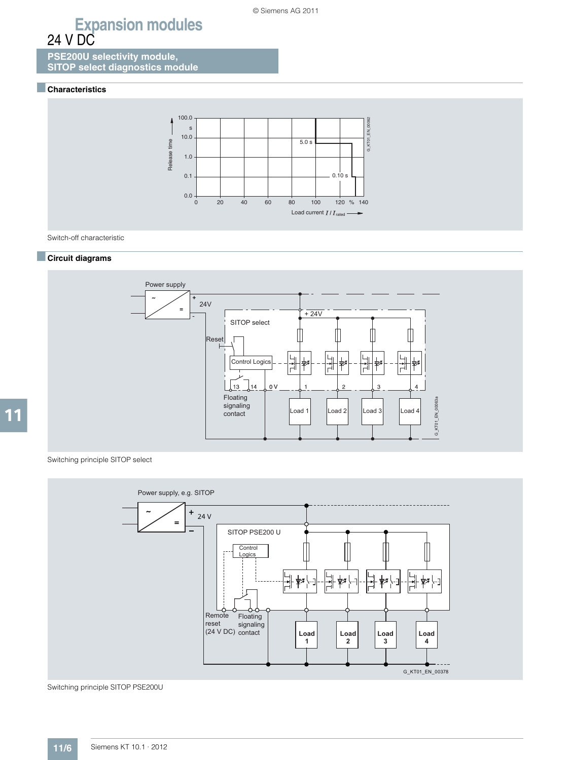**PSE200U selectivity module, SITOP select diagnostics module** 

#### ■**Characteristics**



Switch-off characteristic

#### ■**Circuit diagrams**



Switching principle SITOP select



Switching principle SITOP PSE200U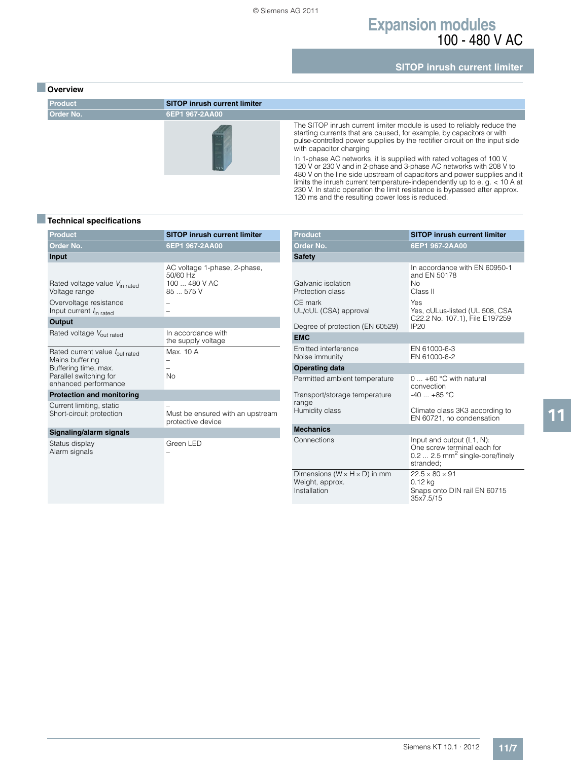### **Expansion modules** 100 - 480 V AC

**SITOP inrush current limiter**

#### ■ **Overview**



#### ■**Technical specifications**

| <b>Product</b>                                                                                                              | <b>SITOP inrush current limiter</b>                                    |  |  |
|-----------------------------------------------------------------------------------------------------------------------------|------------------------------------------------------------------------|--|--|
| Order No.                                                                                                                   | 6EP1 967-2AA00                                                         |  |  |
| <b>Input</b>                                                                                                                |                                                                        |  |  |
| Rated voltage value V <sub>in rated</sub><br>Voltage range<br>Overvoltage resistance<br>Input current $I_{\text{in rated}}$ | AC voltage 1-phase, 2-phase,<br>50/60 Hz<br>100  480 V AC<br>85  575 V |  |  |
| Output                                                                                                                      |                                                                        |  |  |
| Rated voltage Vout rated                                                                                                    | In accordance with<br>the supply voltage                               |  |  |
| Rated current value lout rated<br>Mains buffering<br>Buffering time, max.<br>Parallel switching for<br>enhanced performance | Max. 10 A<br>No.                                                       |  |  |
| <b>Protection and monitoring</b>                                                                                            |                                                                        |  |  |
| Current limiting, static<br>Short-circuit protection                                                                        | Must be ensured with an upstream<br>protective device                  |  |  |
| Signaling/alarm signals                                                                                                     |                                                                        |  |  |
| Status display<br>Alarm signals                                                                                             | Green LED                                                              |  |  |

| <b>Product</b>                                                                                                | <b>SITOP inrush current limiter</b>                                                                                                                       |
|---------------------------------------------------------------------------------------------------------------|-----------------------------------------------------------------------------------------------------------------------------------------------------------|
| Order No.                                                                                                     | 6EP1 967-2AA00                                                                                                                                            |
| <b>Safety</b>                                                                                                 |                                                                                                                                                           |
| Galvanic isolation<br>Protection class<br>CE mark<br>UL/cUL (CSA) approval<br>Degree of protection (EN 60529) | In accordance with EN 60950-1<br>and EN 50178<br><b>No</b><br>Class II<br>Yes<br>Yes, cULus-listed (UL 508, CSA<br>C22.2 No. 107.1), File E197259<br>IP20 |
| <b>EMC</b>                                                                                                    |                                                                                                                                                           |
| Emitted interference<br>Noise immunity                                                                        | EN 61000-6-3<br>EN 61000-6-2                                                                                                                              |
| <b>Operating data</b>                                                                                         |                                                                                                                                                           |
| Permitted ambient temperature<br>Transport/storage temperature<br>range                                       | $0 \ldots +60$ °C with natural<br>convection<br>$-40+85$ °C                                                                                               |
| Humidity class                                                                                                | Climate class 3K3 according to<br>EN 60721, no condensation                                                                                               |
| <b>Mechanics</b>                                                                                              |                                                                                                                                                           |
| Connections                                                                                                   | Input and output (L1, N):<br>One screw terminal each for<br>$0.2$ 2.5 mm <sup>2</sup> single-core/finely<br>stranded:                                     |
| Dimensions ( $W \times H \times D$ ) in mm<br>Weight, approx.<br>Installation                                 | $22.5 \times 80 \times 91$<br>$0.12$ kg<br>Snaps onto DIN rail EN 60715<br>35x7.5/15                                                                      |

120 ms and the resulting power loss is reduced.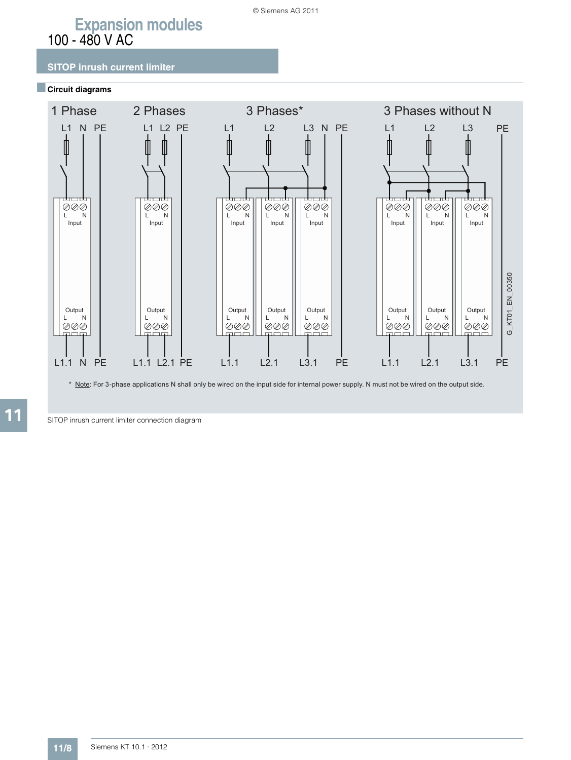# **Expansion modules** 100 - 480 V AC

### **SITOP inrush current limiter**

#### ■**Circuit diagrams**



\* Note: For 3-phase applications N shall only be wired on the input side for internal power supply. N must not be wired on the output side.

SITOP inrush current limiter connection diagram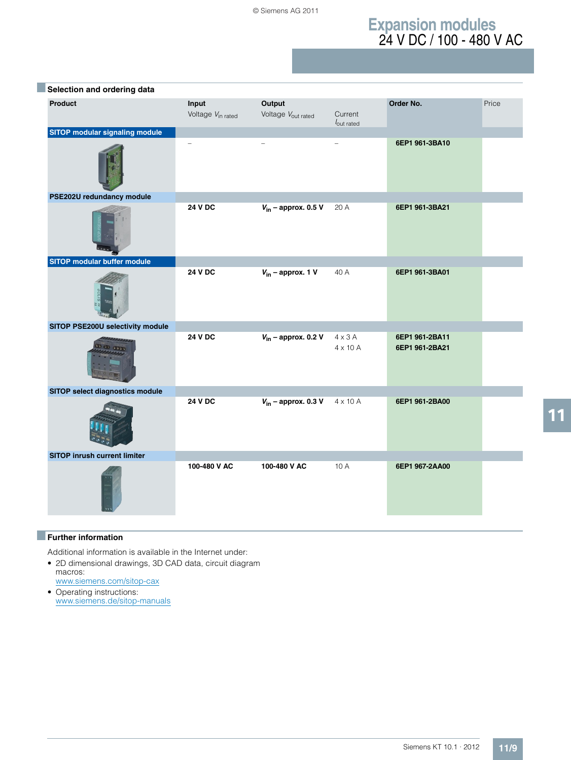# **Expansion modules** 24 V DC / 100 - 480 V AC

| Selection and ordering data           |                                        |                                          |                                   |                                  |       |
|---------------------------------------|----------------------------------------|------------------------------------------|-----------------------------------|----------------------------------|-------|
| Product                               | Input<br>Voltage V <sub>in rated</sub> | Output<br>Voltage V <sub>out rated</sub> | Current<br>$I_{\text{out rated}}$ | Order No.                        | Price |
| <b>SITOP modular signaling module</b> | $\overline{\phantom{0}}$               |                                          |                                   | 6EP1 961-3BA10                   |       |
| PSE202U redundancy module             |                                        |                                          |                                   |                                  |       |
|                                       | <b>24 V DC</b>                         | $V_{\text{in}}$ – approx. 0.5 V          | 20 A                              | 6EP1 961-3BA21                   |       |
| SITOP modular buffer module           |                                        |                                          |                                   |                                  |       |
|                                       | <b>24 V DC</b>                         | $V_{\text{in}}$ – approx. 1 V            | 40 A                              | 6EP1 961-3BA01                   |       |
| SITOP PSE200U selectivity module      |                                        |                                          |                                   |                                  |       |
|                                       | <b>24 V DC</b>                         | $V_{\text{in}}$ – approx. 0.2 V          | $4 \times 3$ A<br>$4 \times 10$ A | 6EP1 961-2BA11<br>6EP1 961-2BA21 |       |
| SITOP select diagnostics module       |                                        |                                          |                                   |                                  |       |
|                                       | <b>24 V DC</b>                         | $V_{\text{in}}$ – approx. 0.3 V          | 4 x 10 A                          | 6EP1 961-2BA00                   |       |
| SITOP inrush current limiter          |                                        |                                          |                                   |                                  |       |
|                                       | 100-480 V AC                           | 100-480 V AC                             | 10 A                              | 6EP1 967-2AA00                   |       |

### ■**Further information**

Additional information is available in the Internet under:

• 2D dimensional drawings, 3D CAD data, circuit diagram macros:

www.siemens.com/sitop-cax

• Operating instructions: www.siemens.de/sitop-manuals